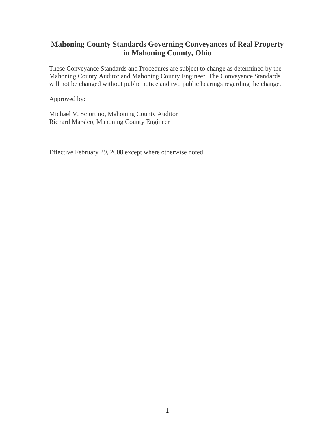# **Mahoning County Standards Governing Conveyances of Real Property in Mahoning County, Ohio**

These Conveyance Standards and Procedures are subject to change as determined by the Mahoning County Auditor and Mahoning County Engineer. The Conveyance Standards will not be changed without public notice and two public hearings regarding the change.

Approved by:

Michael V. Sciortino, Mahoning County Auditor Richard Marsico, Mahoning County Engineer

Effective February 29, 2008 except where otherwise noted.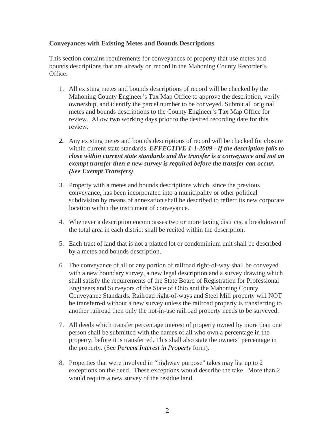# **Conveyances with Existing Metes and Bounds Descriptions**

This section contains requirements for conveyances of property that use metes and bounds descriptions that are already on record in the Mahoning County Recorder's Office.

- 1. All existing metes and bounds descriptions of record will be checked by the Mahoning County Engineer's Tax Map Office to approve the description, verify ownership, and identify the parcel number to be conveyed. Submit all original metes and bounds descriptions to the County Engineer's Tax Map Office for review. Allow **two** working days prior to the desired recording date for this review.
- *2.* Any existing metes and bounds descriptions of record will be checked for closure within current state standards. *EFFECTIVE 1-1-2009 - If the description fails to close within current state standards and the transfer is a conveyance and not an exempt transfer then a new survey is required before the transfer can occur. (See Exempt Transfers)*
- 3. Property with a metes and bounds descriptions which, since the previous conveyance, has been incorporated into a municipality or other political subdivision by means of annexation shall be described to reflect its new corporate location within the instrument of conveyance.
- 4. Whenever a description encompasses two or more taxing districts, a breakdown of the total area in each district shall be recited within the description.
- 5. Each tract of land that is not a platted lot or condominium unit shall be described by a metes and bounds description.
- 6. The conveyance of all or any portion of railroad right-of-way shall be conveyed with a new boundary survey, a new legal description and a survey drawing which shall satisfy the requirements of the State Board of Registration for Professional Engineers and Surveyors of the State of Ohio and the Mahoning County Conveyance Standards. Railroad right-of-ways and Steel Mill property will NOT be transferred without a new survey unless the railroad property is transferring to another railroad then only the not-in-use railroad property needs to be surveyed.
- 7. All deeds which transfer percentage interest of property owned by more than one person shall be submitted with the names of all who own a percentage in the property, before it is transferred. This shall also state the owners' percentage in the property. (See *Percent Interest in Property* form).
- 8. Properties that were involved in "highway purpose" takes may list up to 2 exceptions on the deed. These exceptions would describe the take. More than 2 would require a new survey of the residue land.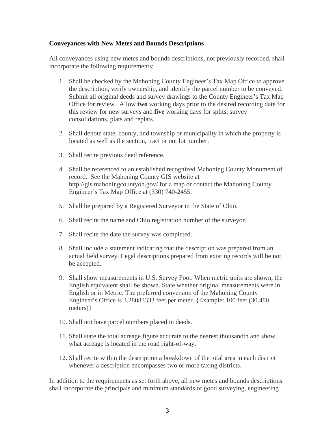## **Conveyances with New Metes and Bounds Descriptions**

All conveyances using new metes and bounds descriptions, not previously recorded, shall incorporate the following requirements:

- 1. Shall be checked by the Mahoning County Engineer's Tax Map Office to approve the description, verify ownership, and identify the parcel number to be conveyed. Submit all original deeds and survey drawings to the County Engineer's Tax Map Office for review. Allow **two** working days prior to the desired recording date for this review for new surveys and **five** working days for splits, survey consolidations, plats and replats.
- 2. Shall denote state, county, and township or municipality in which the property is located as well as the section, tract or out lot number.
- 3. Shall recite previous deed reference.
- 4. Shall be referenced to an established recognized Mahoning County Monument of record. See the Mahoning County GIS website at http://gis.mahoningcountyoh.gov/ for a map or contact the Mahoning County Engineer's Tax Map Office at (330) 740-2455.
- 5. Shall be prepared by a Registered Surveyor in the State of Ohio.
- 6. Shall recite the name and Ohio registration number of the surveyor.
- 7. Shall recite the date the survey was completed.
- 8. Shall include a statement indicating that the description was prepared from an actual field survey. Legal descriptions prepared from existing records will be not be accepted.
- 9. Shall show measurements in U.S. Survey Foot. When metric units are shown, the English equivalent shall be shown. State whether original measurements were in English or in Metric. The preferred conversion of the Mahoning County Engineer's Office is 3.28083333 feet per meter. {Example: 100 feet (30.480 meters)}
- 10. Shall not have parcel numbers placed in deeds.
- 11. Shall state the total acreage figure accurate to the nearest thousandth and show what acreage is located in the road right-of-way.
- 12. Shall recite within the description a breakdown of the total area in each district whenever a description encompasses two or more taxing districts.

In addition to the requirements as set forth above, all new metes and bounds descriptions shall incorporate the principals and minimum standards of good surveying, engineering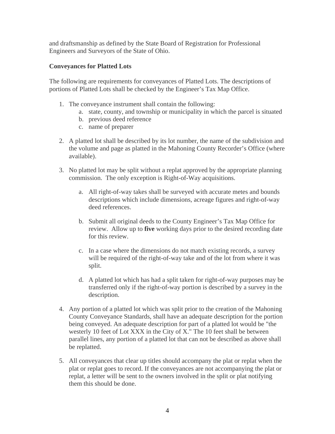and draftsmanship as defined by the State Board of Registration for Professional Engineers and Surveyors of the State of Ohio.

# **Conveyances for Platted Lots**

The following are requirements for conveyances of Platted Lots. The descriptions of portions of Platted Lots shall be checked by the Engineer's Tax Map Office.

- 1. The conveyance instrument shall contain the following:
	- a. state, county, and township or municipality in which the parcel is situated
	- b. previous deed reference
	- c. name of preparer
- 2. A platted lot shall be described by its lot number, the name of the subdivision and the volume and page as platted in the Mahoning County Recorder's Office (where available).
- 3. No platted lot may be split without a replat approved by the appropriate planning commission. The only exception is Right-of-Way acquisitions.
	- a. All right-of-way takes shall be surveyed with accurate metes and bounds descriptions which include dimensions, acreage figures and right-of-way deed references.
	- b. Submit all original deeds to the County Engineer's Tax Map Office for review. Allow up to **five** working days prior to the desired recording date for this review.
	- c. In a case where the dimensions do not match existing records, a survey will be required of the right-of-way take and of the lot from where it was split.
	- d. A platted lot which has had a split taken for right-of-way purposes may be transferred only if the right-of-way portion is described by a survey in the description.
- 4. Any portion of a platted lot which was split prior to the creation of the Mahoning County Conveyance Standards, shall have an adequate description for the portion being conveyed. An adequate description for part of a platted lot would be "the westerly 10 feet of Lot XXX in the City of X." The 10 feet shall be between parallel lines, any portion of a platted lot that can not be described as above shall be replatted.
- 5. All conveyances that clear up titles should accompany the plat or replat when the plat or replat goes to record. If the conveyances are not accompanying the plat or replat, a letter will be sent to the owners involved in the split or plat notifying them this should be done.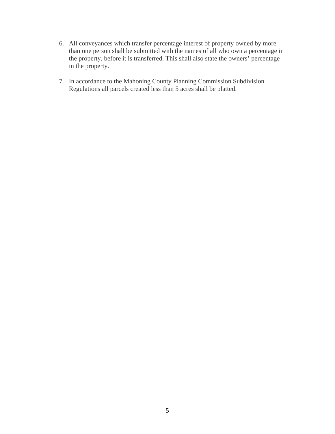- 6. All conveyances which transfer percentage interest of property owned by more than one person shall be submitted with the names of all who own a percentage in the property, before it is transferred. This shall also state the owners' percentage in the property.
- 7. In accordance to the Mahoning County Planning Commission Subdivision Regulations all parcels created less than 5 acres shall be platted.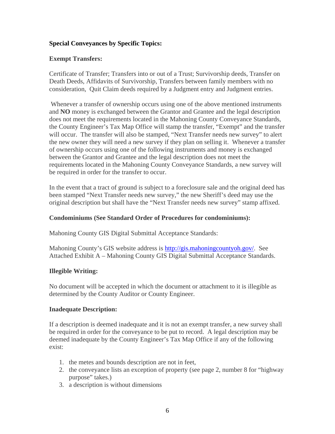# **Special Conveyances by Specific Topics:**

# **Exempt Transfers:**

Certificate of Transfer; Transfers into or out of a Trust; Survivorship deeds, Transfer on Death Deeds, Affidavits of Survivorship, Transfers between family members with no consideration, Quit Claim deeds required by a Judgment entry and Judgment entries.

 Whenever a transfer of ownership occurs using one of the above mentioned instruments and **NO** money is exchanged between the Grantor and Grantee and the legal description does not meet the requirements located in the Mahoning County Conveyance Standards, the County Engineer's Tax Map Office will stamp the transfer, "Exempt" and the transfer will occur. The transfer will also be stamped, "Next Transfer needs new survey" to alert the new owner they will need a new survey if they plan on selling it. Whenever a transfer of ownership occurs using one of the following instruments and money is exchanged between the Grantor and Grantee and the legal description does not meet the requirements located in the Mahoning County Conveyance Standards, a new survey will be required in order for the transfer to occur.

In the event that a tract of ground is subject to a foreclosure sale and the original deed has been stamped "Next Transfer needs new survey," the new Sheriff's deed may use the original description but shall have the "Next Transfer needs new survey" stamp affixed.

# **Condominiums (See Standard Order of Procedures for condominiums):**

Mahoning County GIS Digital Submittal Acceptance Standards:

Mahoning County's GIS website address is http://gis.mahoningcountyoh.gov/. See Attached Exhibit A – Mahoning County GIS Digital Submittal Acceptance Standards.

# **Illegible Writing:**

No document will be accepted in which the document or attachment to it is illegible as determined by the County Auditor or County Engineer.

#### **Inadequate Description:**

If a description is deemed inadequate and it is not an exempt transfer, a new survey shall be required in order for the conveyance to be put to record. A legal description may be deemed inadequate by the County Engineer's Tax Map Office if any of the following exist:

- 1. the metes and bounds description are not in feet,
- 2. the conveyance lists an exception of property (see page 2, number 8 for "highway purpose" takes.)
- 3. a description is without dimensions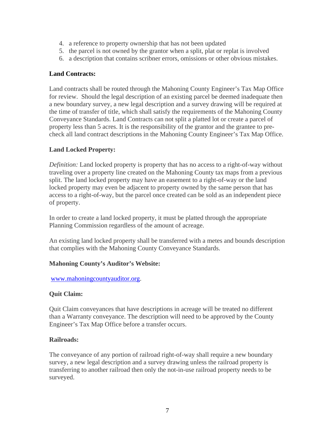- 4. a reference to property ownership that has not been updated
- 5. the parcel is not owned by the grantor when a split, plat or replat is involved
- 6. a description that contains scribner errors, omissions or other obvious mistakes.

# **Land Contracts:**

Land contracts shall be routed through the Mahoning County Engineer's Tax Map Office for review. Should the legal description of an existing parcel be deemed inadequate then a new boundary survey, a new legal description and a survey drawing will be required at the time of transfer of title, which shall satisfy the requirements of the Mahoning County Conveyance Standards. Land Contracts can not split a platted lot or create a parcel of property less than 5 acres. It is the responsibility of the grantor and the grantee to precheck all land contract descriptions in the Mahoning County Engineer's Tax Map Office.

# **Land Locked Property:**

*Definition:* Land locked property is property that has no access to a right-of-way without traveling over a property line created on the Mahoning County tax maps from a previous split. The land locked property may have an easement to a right-of-way or the land locked property may even be adjacent to property owned by the same person that has access to a right-of-way, but the parcel once created can be sold as an independent piece of property.

In order to create a land locked property, it must be platted through the appropriate Planning Commission regardless of the amount of acreage.

An existing land locked property shall be transferred with a metes and bounds description that complies with the Mahoning County Conveyance Standards.

# **Mahoning County's Auditor's Website:**

www.mahoningcountyauditor.org.

# **Quit Claim:**

Quit Claim conveyances that have descriptions in acreage will be treated no different than a Warranty conveyance. The description will need to be approved by the County Engineer's Tax Map Office before a transfer occurs.

# **Railroads:**

The conveyance of any portion of railroad right-of-way shall require a new boundary survey, a new legal description and a survey drawing unless the railroad property is transferring to another railroad then only the not-in-use railroad property needs to be surveyed.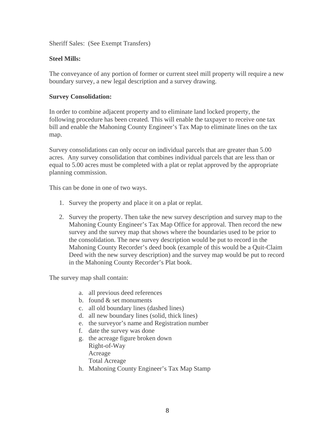Sheriff Sales: (See Exempt Transfers)

# **Steel Mills:**

The conveyance of any portion of former or current steel mill property will require a new boundary survey, a new legal description and a survey drawing.

## **Survey Consolidation:**

In order to combine adjacent property and to eliminate land locked property, the following procedure has been created. This will enable the taxpayer to receive one tax bill and enable the Mahoning County Engineer's Tax Map to eliminate lines on the tax map.

Survey consolidations can only occur on individual parcels that are greater than 5.00 acres. Any survey consolidation that combines individual parcels that are less than or equal to 5.00 acres must be completed with a plat or replat approved by the appropriate planning commission.

This can be done in one of two ways.

- 1. Survey the property and place it on a plat or replat.
- 2. Survey the property. Then take the new survey description and survey map to the Mahoning County Engineer's Tax Map Office for approval. Then record the new survey and the survey map that shows where the boundaries used to be prior to the consolidation. The new survey description would be put to record in the Mahoning County Recorder's deed book (example of this would be a Quit-Claim Deed with the new survey description) and the survey map would be put to record in the Mahoning County Recorder's Plat book.

The survey map shall contain:

- a. all previous deed references
- b. found & set monuments
- c. all old boundary lines (dashed lines)
- d. all new boundary lines (solid, thick lines)
- e. the surveyor's name and Registration number
- f. date the survey was done
- g. the acreage figure broken down Right-of-Way Acreage Total Acreage
- h. Mahoning County Engineer's Tax Map Stamp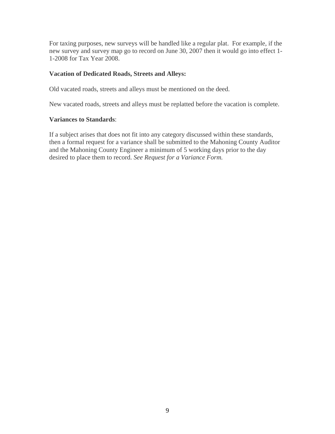For taxing purposes, new surveys will be handled like a regular plat. For example, if the new survey and survey map go to record on June 30, 2007 then it would go into effect 1- 1-2008 for Tax Year 2008.

## **Vacation of Dedicated Roads, Streets and Alleys:**

Old vacated roads, streets and alleys must be mentioned on the deed.

New vacated roads, streets and alleys must be replatted before the vacation is complete.

#### **Variances to Standards**:

If a subject arises that does not fit into any category discussed within these standards, then a formal request for a variance shall be submitted to the Mahoning County Auditor and the Mahoning County Engineer a minimum of 5 working days prior to the day desired to place them to record. *See Request for a Variance Form.*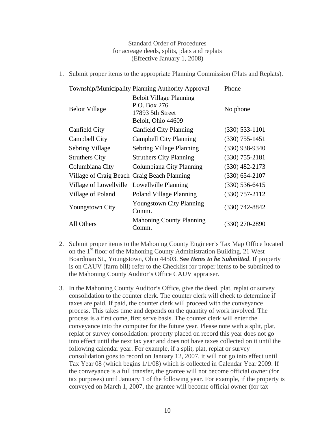Standard Order of Procedures for acreage deeds, splits, plats and replats (Effective January 1, 2008)

1. Submit proper items to the appropriate Planning Commission (Plats and Replats).

|                                             | Township/Municipality Planning Authority Approval                                        | Phone            |
|---------------------------------------------|------------------------------------------------------------------------------------------|------------------|
| <b>Beloit Village</b>                       | <b>Beloit Village Planning</b><br>P.O. Box 276<br>17893 5th Street<br>Beloit, Ohio 44609 | No phone         |
| Canfield City                               | <b>Canfield City Planning</b>                                                            | $(330)$ 533-1101 |
| Campbell City                               | <b>Campbell City Planning</b>                                                            | $(330)$ 755-1451 |
| Sebring Village                             | Sebring Village Planning                                                                 | $(330)$ 938-9340 |
| <b>Struthers City</b>                       | <b>Struthers City Planning</b>                                                           | $(330)$ 755-2181 |
| Columbiana City                             | Columbiana City Planning                                                                 | $(330)$ 482-2173 |
| Village of Craig Beach Craig Beach Planning |                                                                                          | $(330)$ 654-2107 |
| Village of Lowellville Lowellville Planning |                                                                                          | $(330)$ 536-6415 |
| Village of Poland                           | <b>Poland Village Planning</b>                                                           | $(330)$ 757-2112 |
| <b>Youngstown City</b>                      | <b>Youngstown City Planning</b><br>Comm.                                                 | $(330)$ 742-8842 |
| All Others                                  | <b>Mahoning County Planning</b><br>Comm.                                                 | $(330)$ 270-2890 |

- 2. Submit proper items to the Mahoning County Engineer's Tax Map Office located on the 1<sup>st</sup> floor of the Mahoning County Administration Building, 21 West Boardman St., Youngstown, Ohio 44503. **See** *Items to be Submitted*. If property is on CAUV (farm bill) refer to the Checklist for proper items to be submitted to the Mahoning County Auditor's Office CAUV appraiser.
- 3. In the Mahoning County Auditor's Office, give the deed, plat, replat or survey consolidation to the counter clerk. The counter clerk will check to determine if taxes are paid. If paid, the counter clerk will proceed with the conveyance process. This takes time and depends on the quantity of work involved. The process is a first come, first serve basis. The counter clerk will enter the conveyance into the computer for the future year. Please note with a split, plat, replat or survey consolidation: property placed on record this year does not go into effect until the next tax year and does not have taxes collected on it until the following calendar year. For example, if a split, plat, replat or survey consolidation goes to record on January 12, 2007, it will not go into effect until Tax Year 08 (which begins 1/1/08) which is collected in Calendar Year 2009. If the conveyance is a full transfer, the grantee will not become official owner (for tax purposes) until January 1 of the following year. For example, if the property is conveyed on March 1, 2007, the grantee will become official owner (for tax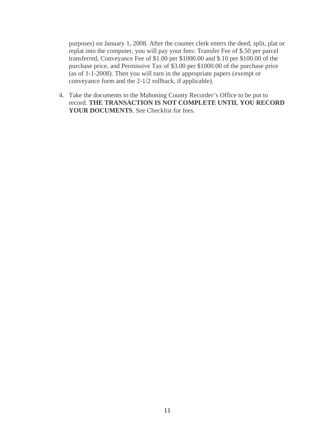purposes) on January 1, 2008. After the counter clerk enters the deed, split, plat or replat into the computer, you will pay your fees: Transfer Fee of \$.50 per parcel transferred, Conveyance Fee of \$1.00 per \$1000.00 and \$.10 per \$100.00 of the purchase price, and Permissive Tax of \$3.00 per \$1000.00 of the purchase price (as of 1-1-2008). Then you will turn in the appropriate papers (exempt or conveyance form and the 2-1/2 rollback, if applicable).

4. Take the documents to the Mahoning County Recorder's Office to be put to record. **THE TRANSACTION IS NOT COMPLETE UNTIL YOU RECORD**  YOUR DOCUMENTS. See Checklist for fees.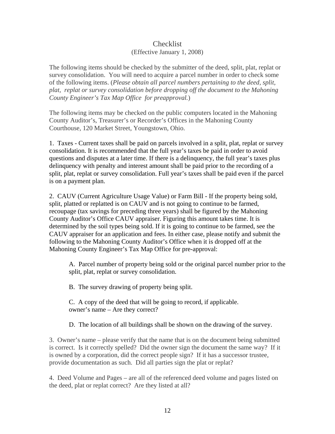# Checklist (Effective January 1, 2008)

The following items should be checked by the submitter of the deed, split, plat, replat or survey consolidation. You will need to acquire a parcel number in order to check some of the following items. (*Please obtain all parcel numbers pertaining to the deed, split, plat, replat or survey consolidation before dropping off the document to the Mahoning County Engineer's Tax Map Office for preapproval.*)

The following items may be checked on the public computers located in the Mahoning County Auditor's, Treasurer's or Recorder's Offices in the Mahoning County Courthouse, 120 Market Street, Youngstown, Ohio.

1. Taxes - Current taxes shall be paid on parcels involved in a split, plat, replat or survey consolidation. It is recommended that the full year's taxes be paid in order to avoid questions and disputes at a later time. If there is a delinquency, the full year's taxes plus delinquency with penalty and interest amount shall be paid prior to the recording of a split, plat, replat or survey consolidation. Full year's taxes shall be paid even if the parcel is on a payment plan.

2. CAUV (Current Agriculture Usage Value) or Farm Bill - If the property being sold, split, platted or replatted is on CAUV and is not going to continue to be farmed, recoupage (tax savings for preceding three years) shall be figured by the Mahoning County Auditor's Office CAUV appraiser. Figuring this amount takes time. It is determined by the soil types being sold. If it is going to continue to be farmed, see the CAUV appraiser for an application and fees. In either case, please notify and submit the following to the Mahoning County Auditor's Office when it is dropped off at the Mahoning County Engineer's Tax Map Office for pre-approval:

A. Parcel number of property being sold or the original parcel number prior to the split, plat, replat or survey consolidation.

B. The survey drawing of property being split.

C. A copy of the deed that will be going to record, if applicable. owner's name – Are they correct?

D. The location of all buildings shall be shown on the drawing of the survey.

3. Owner's name – please verify that the name that is on the document being submitted is correct. Is it correctly spelled? Did the owner sign the document the same way? If it is owned by a corporation, did the correct people sign? If it has a successor trustee, provide documentation as such. Did all parties sign the plat or replat?

4. Deed Volume and Pages – are all of the referenced deed volume and pages listed on the deed, plat or replat correct? Are they listed at all?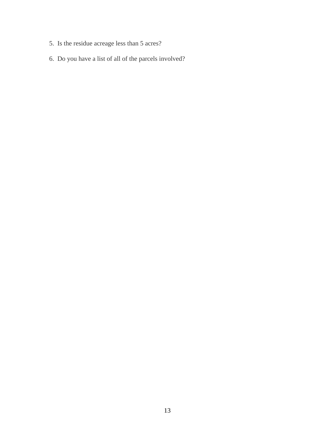- 5. Is the residue acreage less than 5 acres?
- 6. Do you have a list of all of the parcels involved?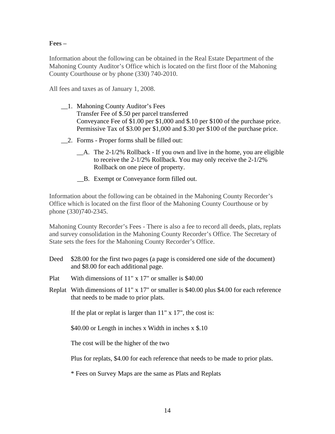# **Fees –**

Information about the following can be obtained in the Real Estate Department of the Mahoning County Auditor's Office which is located on the first floor of the Mahoning County Courthouse or by phone (330) 740-2010.

All fees and taxes as of January 1, 2008.

- \_\_1. Mahoning County Auditor's Fees Transfer Fee of \$.50 per parcel transferred Conveyance Fee of \$1.00 per \$1,000 and \$.10 per \$100 of the purchase price. Permissive Tax of \$3.00 per \$1,000 and \$.30 per \$100 of the purchase price.
- \_\_2. Forms Proper forms shall be filled out:
	- $\Box$  A. The 2-1/2% Rollback If you own and live in the home, you are eligible to receive the 2-1/2% Rollback. You may only receive the 2-1/2% Rollback on one piece of property.
	- \_\_B. Exempt or Conveyance form filled out.

Information about the following can be obtained in the Mahoning County Recorder's Office which is located on the first floor of the Mahoning County Courthouse or by phone (330)740-2345.

Mahoning County Recorder's Fees - There is also a fee to record all deeds, plats, replats and survey consolidation in the Mahoning County Recorder's Office. The Secretary of State sets the fees for the Mahoning County Recorder's Office.

- Deed  $$28.00$  for the first two pages (a page is considered one side of the document) and \$8.00 for each additional page.
- Plat With dimensions of 11" x 17" or smaller is \$40.00
- Replat With dimensions of 11" x 17" or smaller is \$40.00 plus \$4.00 for each reference that needs to be made to prior plats.

If the plat or replat is larger than 11" x 17", the cost is:

\$40.00 or Length in inches x Width in inches x \$.10

The cost will be the higher of the two

Plus for replats, \$4.00 for each reference that needs to be made to prior plats.

\* Fees on Survey Maps are the same as Plats and Replats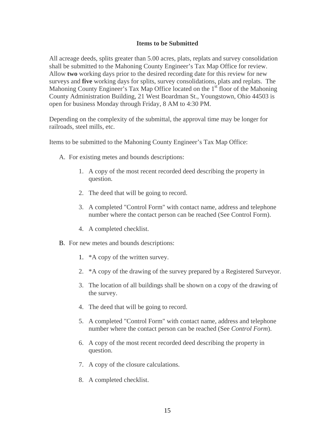## **Items to be Submitted**

All acreage deeds, splits greater than 5.00 acres, plats, replats and survey consolidation shall be submitted to the Mahoning County Engineer's Tax Map Office for review. Allow **two** working days prior to the desired recording date for this review for new surveys and **five** working days for splits, survey consolidations, plats and replats. The Mahoning County Engineer's Tax Map Office located on the  $1<sup>st</sup>$  floor of the Mahoning County Administration Building, 21 West Boardman St., Youngstown, Ohio 44503 is open for business Monday through Friday, 8 AM to 4:30 PM.

Depending on the complexity of the submittal, the approval time may be longer for railroads, steel mills, etc.

Items to be submitted to the Mahoning County Engineer's Tax Map Office:

- A. For existing metes and bounds descriptions:
	- 1. A copy of the most recent recorded deed describing the property in question.
	- 2. The deed that will be going to record.
	- 3. A completed "Control Form" with contact name, address and telephone number where the contact person can be reached (See Control Form).
	- 4. A completed checklist.
- B. For new metes and bounds descriptions:
	- 1. \*A copy of the written survey.
	- 2. \*A copy of the drawing of the survey prepared by a Registered Surveyor.
	- 3. The location of all buildings shall be shown on a copy of the drawing of the survey.
	- 4. The deed that will be going to record.
	- 5. A completed "Control Form" with contact name, address and telephone number where the contact person can be reached (See *Control Form*).
	- 6. A copy of the most recent recorded deed describing the property in question.
	- 7. A copy of the closure calculations.
	- 8. A completed checklist.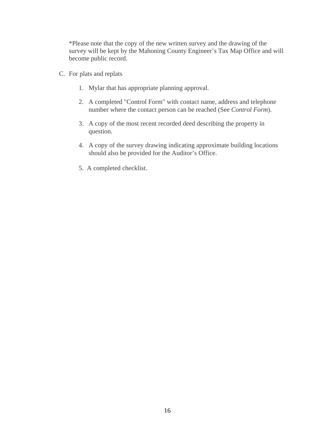\*Please note that the copy of the new written survey and the drawing of the survey will be kept by the Mahoning County Engineer's Tax Map Office and will become public record.

- C. For plats and replats
	- 1. Mylar that has appropriate planning approval.
	- 2. A completed "Control Form" with contact name, address and telephone number where the contact person can be reached (See *Control Form*).
	- 3. A copy of the most recent recorded deed describing the property in question.
	- 4. A copy of the survey drawing indicating approximate building locations should also be provided for the Auditor's Office.
	- 5. A completed checklist.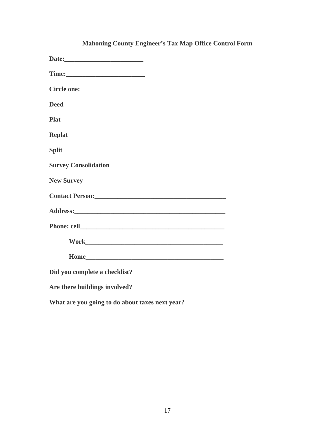| <b>Circle one:</b>            |
|-------------------------------|
| <b>Deed</b>                   |
| <b>Plat</b>                   |
| <b>Replat</b>                 |
| <b>Split</b>                  |
| <b>Survey Consolidation</b>   |
| <b>New Survey</b>             |
|                               |
|                               |
|                               |
|                               |
|                               |
| Did you complete a checklist? |
| Are there buildings involved? |

# **Mahoning County Engineer's Tax Map Office Control Form**

**What are you going to do about taxes next year?**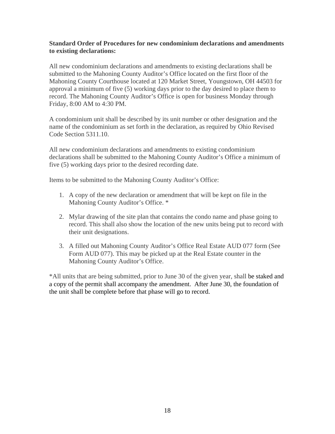## **Standard Order of Procedures for new condominium declarations and amendments to existing declarations:**

All new condominium declarations and amendments to existing declarations shall be submitted to the Mahoning County Auditor's Office located on the first floor of the Mahoning County Courthouse located at 120 Market Street, Youngstown, OH 44503 for approval a minimum of five (5) working days prior to the day desired to place them to record. The Mahoning County Auditor's Office is open for business Monday through Friday, 8:00 AM to 4:30 PM.

A condominium unit shall be described by its unit number or other designation and the name of the condominium as set forth in the declaration, as required by Ohio Revised Code Section 5311.10.

All new condominium declarations and amendments to existing condominium declarations shall be submitted to the Mahoning County Auditor's Office a minimum of five (5) working days prior to the desired recording date.

Items to be submitted to the Mahoning County Auditor's Office:

- 1. A copy of the new declaration or amendment that will be kept on file in the Mahoning County Auditor's Office. \*
- 2. Mylar drawing of the site plan that contains the condo name and phase going to record. This shall also show the location of the new units being put to record with their unit designations.
- 3. A filled out Mahoning County Auditor's Office Real Estate AUD 077 form (See Form AUD 077). This may be picked up at the Real Estate counter in the Mahoning County Auditor's Office.

\*All units that are being submitted, prior to June 30 of the given year, shall be staked and a copy of the permit shall accompany the amendment. After June 30, the foundation of the unit shall be complete before that phase will go to record.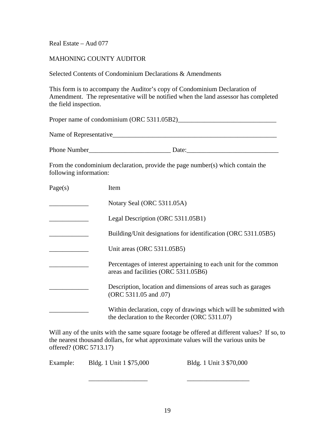Real Estate – Aud 077

Name of Representative

## MAHONING COUNTY AUDITOR

Selected Contents of Condominium Declarations & Amendments

This form is to accompany the Auditor's copy of Condominium Declaration of Amendment. The representative will be notified when the land assessor has completed the field inspection.

Proper name of condominium (ORC 5311.05B2)\_\_\_\_\_\_\_\_\_\_\_\_\_\_\_\_\_\_\_\_\_\_\_\_\_\_\_\_\_\_

| <b>Phone Number</b> |  |
|---------------------|--|
|---------------------|--|

From the condominium declaration, provide the page number(s) which contain the following information:

| Page(s) | Item                                                                                                               |
|---------|--------------------------------------------------------------------------------------------------------------------|
|         | Notary Seal (ORC 5311.05A)                                                                                         |
|         | Legal Description (ORC 5311.05B1)                                                                                  |
|         | Building/Unit designations for identification (ORC 5311.05B5)                                                      |
|         | Unit areas (ORC 5311.05B5)                                                                                         |
|         | Percentages of interest appertaining to each unit for the common<br>areas and facilities (ORC 5311.05B6)           |
|         | Description, location and dimensions of areas such as garages<br>(ORC 5311.05 and .07)                             |
|         | Within declaration, copy of drawings which will be submitted with<br>the declaration to the Recorder (ORC 5311.07) |

Will any of the units with the same square footage be offered at different values? If so, to the nearest thousand dollars, for what approximate values will the various units be offered? (ORC 5713.17)

Example: Bldg. 1 Unit 1 \$75,000 Bldg. 1 Unit 3 \$70,000

 $\overline{\phantom{a}}$  , and the contract of the contract of the contract of the contract of the contract of the contract of the contract of the contract of the contract of the contract of the contract of the contract of the contrac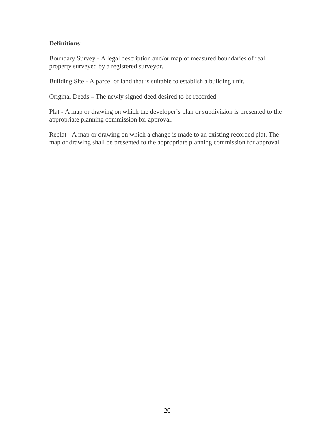# **Definitions:**

Boundary Survey - A legal description and/or map of measured boundaries of real property surveyed by a registered surveyor.

Building Site - A parcel of land that is suitable to establish a building unit.

Original Deeds – The newly signed deed desired to be recorded.

Plat - A map or drawing on which the developer's plan or subdivision is presented to the appropriate planning commission for approval.

Replat - A map or drawing on which a change is made to an existing recorded plat. The map or drawing shall be presented to the appropriate planning commission for approval.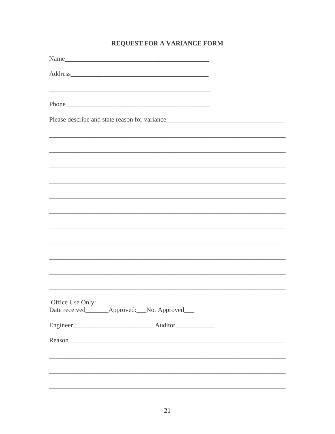# REQUEST FOR A VARIANCE FORM

| Address                                                                           |  |
|-----------------------------------------------------------------------------------|--|
| ,我们也不能在这里的时候,我们也不能在这里的时候,我们也不能会在这里的时候,我们也不能会在这里的时候,我们也不能会在这里的时候,我们也不能会在这里的时候,我们也  |  |
|                                                                                   |  |
|                                                                                   |  |
|                                                                                   |  |
|                                                                                   |  |
|                                                                                   |  |
|                                                                                   |  |
|                                                                                   |  |
|                                                                                   |  |
| ,我们也不能在这里的时候,我们也不能在这里的时候,我们也不能会在这里的时候,我们也不能会在这里的时候,我们也不能会在这里的时候,我们也不能会在这里的时候,我们也不 |  |
|                                                                                   |  |
|                                                                                   |  |
|                                                                                   |  |
| Office Use Only:                                                                  |  |
| Date received_________Approved:___Not Approved___                                 |  |
|                                                                                   |  |
|                                                                                   |  |
|                                                                                   |  |
|                                                                                   |  |
|                                                                                   |  |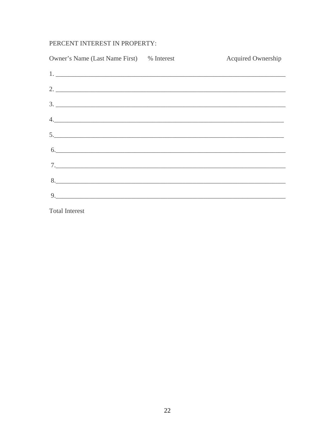# PERCENT INTEREST IN PROPERTY:

| Owner's Name (Last Name First) % Interest                                                                                                                                                                                                                                                                                                                                                               | <b>Acquired Ownership</b> |
|---------------------------------------------------------------------------------------------------------------------------------------------------------------------------------------------------------------------------------------------------------------------------------------------------------------------------------------------------------------------------------------------------------|---------------------------|
| $1.$ $\overline{\phantom{a}}$                                                                                                                                                                                                                                                                                                                                                                           |                           |
| $2.$ $\overline{\phantom{a}}$                                                                                                                                                                                                                                                                                                                                                                           |                           |
| 3.                                                                                                                                                                                                                                                                                                                                                                                                      |                           |
| 4.                                                                                                                                                                                                                                                                                                                                                                                                      |                           |
| $\begin{array}{c c c c c} \hline \text{5.} & \text{6.} & \text{6.} & \text{6.} & \text{6.} & \text{6.} \\ \hline \text{6.} & \text{6.} & \text{6.} & \text{6.} & \text{6.} & \text{6.} \\ \hline \text{7.} & \text{8.} & \text{8.} & \text{8.} & \text{8.} & \text{8.} \\ \hline \text{8.} & \text{8.} & \text{8.} & \text{8.} & \text{8.} & \text{8.} \\ \hline \text{9.} & \text{9.} & \text{9.} & \$ |                           |
| 6.                                                                                                                                                                                                                                                                                                                                                                                                      |                           |
| 7.                                                                                                                                                                                                                                                                                                                                                                                                      |                           |
|                                                                                                                                                                                                                                                                                                                                                                                                         |                           |
| 9.                                                                                                                                                                                                                                                                                                                                                                                                      |                           |
|                                                                                                                                                                                                                                                                                                                                                                                                         |                           |

**Total Interest**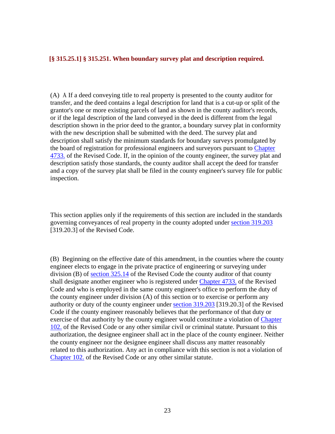#### **[§ 315.25.1] § 315.251. When boundary survey plat and description required.**

(A) Å If a deed conveying title to real property is presented to the county auditor for transfer, and the deed contains a legal description for land that is a cut-up or split of the grantor's one or more existing parcels of land as shown in the county auditor's records, or if the legal description of the land conveyed in the deed is different from the legal description shown in the prior deed to the grantor, a boundary survey plat in conformity with the new description shall be submitted with the deed. The survey plat and description shall satisfy the minimum standards for boundary surveys promulgated by the board of registration for professional engineers and surveyors pursuant to Chapter 4733. of the Revised Code. If, in the opinion of the county engineer, the survey plat and description satisfy those standards, the county auditor shall accept the deed for transfer and a copy of the survey plat shall be filed in the county engineer's survey file for public inspection.

This section applies only if the requirements of this section are included in the standards governing conveyances of real property in the county adopted under section 319.203 [319.20.3] of the Revised Code.

(B) Beginning on the effective date of this amendment, in the counties where the county engineer elects to engage in the private practice of engineering or surveying under division (B) of section 325.14 of the Revised Code the county auditor of that county shall designate another engineer who is registered under Chapter 4733. of the Revised Code and who is employed in the same county engineer's office to perform the duty of the county engineer under division (A) of this section or to exercise or perform any authority or duty of the county engineer under section 319.203 [319.20.3] of the Revised Code if the county engineer reasonably believes that the performance of that duty or exercise of that authority by the county engineer would constitute a violation of Chapter 102. of the Revised Code or any other similar civil or criminal statute. Pursuant to this authorization, the designee engineer shall act in the place of the county engineer. Neither the county engineer nor the designee engineer shall discuss any matter reasonably related to this authorization. Any act in compliance with this section is not a violation of Chapter 102. of the Revised Code or any other similar statute.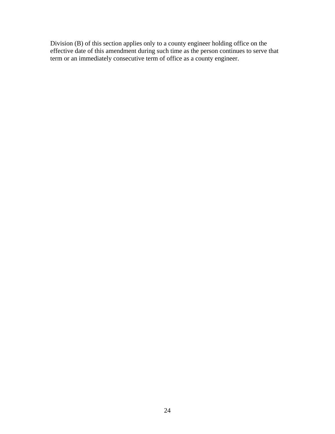Division (B) of this section applies only to a county engineer holding office on the effective date of this amendment during such time as the person continues to serve that term or an immediately consecutive term of office as a county engineer.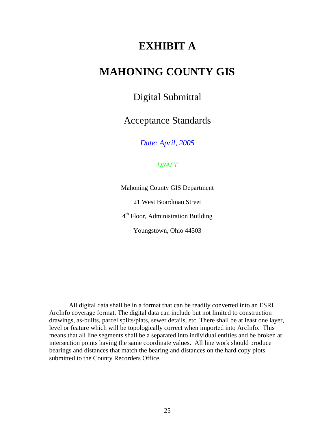# **EXHIBIT A**

# **MAHONING COUNTY GIS**

# Digital Submittal

Acceptance Standards

*Date: April, 2005* 

#### *DRAFT*

Mahoning County GIS Department

21 West Boardman Street

4<sup>th</sup> Floor, Administration Building

Youngstown, Ohio 44503

All digital data shall be in a format that can be readily converted into an ESRI ArcInfo coverage format. The digital data can include but not limited to construction drawings, as-builts, parcel splits/plats, sewer details, etc. There shall be at least one layer, level or feature which will be topologically correct when imported into ArcInfo. This means that all line segments shall be a separated into individual entities and be broken at intersection points having the same coordinate values. All line work should produce bearings and distances that match the bearing and distances on the hard copy plots submitted to the County Recorders Office.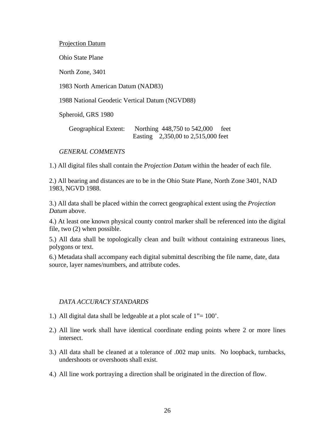#### Projection Datum

Ohio State Plane

North Zone, 3401

1983 North American Datum (NAD83)

1988 National Geodetic Vertical Datum (NGVD88)

Spheroid, GRS 1980

Geographical Extent: Northing 448,750 to 542,000 feet Easting 2,350,00 to 2,515,000 feet

*GENERAL COMMENTS* 

1.) All digital files shall contain the *Projection Datum* within the header of each file.

2.) All bearing and distances are to be in the Ohio State Plane, North Zone 3401, NAD 1983, NGVD 1988.

3.) All data shall be placed within the correct geographical extent using the *Projection Datum* above.

4.) At least one known physical county control marker shall be referenced into the digital file, two (2) when possible.

5.) All data shall be topologically clean and built without containing extraneous lines, polygons or text.

6.) Metadata shall accompany each digital submittal describing the file name, date, data source, layer names/numbers, and attribute codes.

#### *DATA ACCURACY STANDARDS*

- 1.) All digital data shall be ledgeable at a plot scale of  $1" = 100'$ .
- 2.) All line work shall have identical coordinate ending points where 2 or more lines intersect.
- 3.) All data shall be cleaned at a tolerance of .002 map units. No loopback, turnbacks, undershoots or overshoots shall exist.
- 4.) All line work portraying a direction shall be originated in the direction of flow.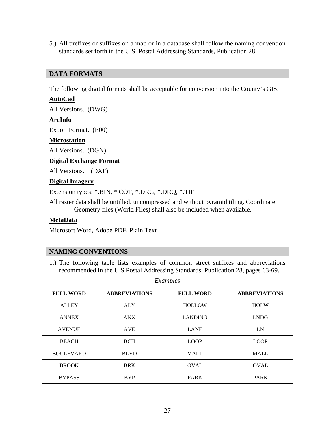5.) All prefixes or suffixes on a map or in a database shall follow the naming convention standards set forth in the U.S. Postal Addressing Standards, Publication 28.

## **DATA FORMATS**

The following digital formats shall be acceptable for conversion into the County's GIS.

## **AutoCad**

All Versions. (DWG)

#### **ArcInfo**

Export Format. (E00)

#### **Microstation**

All Versions. (DGN)

#### **Digital Exchange Format**

All Versions**.** (DXF)

#### **Digital Imagery**

Extension types: \*.BIN, \*.COT, \*.DRG, \*.DRQ, \*.TIF

All raster data shall be untilled, uncompressed and without pyramid tiling. Coordinate Geometry files (World Files) shall also be included when available.

#### **MetaData**

Microsoft Word, Adobe PDF, Plain Text

#### **NAMING CONVENTIONS**

1.) The following table lists examples of common street suffixes and abbreviations recommended in the U.S Postal Addressing Standards, Publication 28, pages 63-69.

| <b>FULL WORD</b> | <b>ABBREVIATIONS</b> | <b>FULL WORD</b> | <b>ABBREVIATIONS</b> |
|------------------|----------------------|------------------|----------------------|
| <b>ALLEY</b>     | <b>ALY</b>           | <b>HOLLOW</b>    | <b>HOLW</b>          |
| <b>ANNEX</b>     | <b>ANX</b>           | <b>LANDING</b>   | <b>LNDG</b>          |
| <b>AVENUE</b>    | <b>AVE</b>           | <b>LANE</b>      | LN                   |
| <b>BEACH</b>     | <b>BCH</b>           | <b>LOOP</b>      | <b>LOOP</b>          |
| <b>BOULEVARD</b> | <b>BLVD</b>          | <b>MALL</b>      | <b>MALL</b>          |
| <b>BROOK</b>     | <b>BRK</b>           | <b>OVAL</b>      | <b>OVAL</b>          |
| <b>BYPASS</b>    | <b>BYP</b>           | <b>PARK</b>      | <b>PARK</b>          |

*Examples*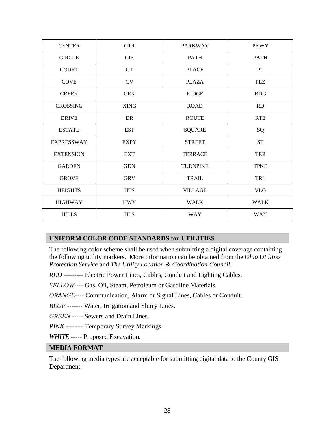| <b>CENTER</b>     | <b>CTR</b>  | <b>PARKWAY</b>  | <b>PKWY</b> |
|-------------------|-------------|-----------------|-------------|
| <b>CIRCLE</b>     | <b>CIR</b>  | <b>PATH</b>     | <b>PATH</b> |
| <b>COURT</b>      | <b>CT</b>   | <b>PLACE</b>    | PL          |
| <b>COVE</b>       | CV          | <b>PLAZA</b>    | <b>PLZ</b>  |
| <b>CREEK</b>      | <b>CRK</b>  | <b>RIDGE</b>    | <b>RDG</b>  |
| <b>CROSSING</b>   | <b>XING</b> | <b>ROAD</b>     | RD          |
| <b>DRIVE</b>      | DR          | <b>ROUTE</b>    | <b>RTE</b>  |
| <b>ESTATE</b>     | <b>EST</b>  | <b>SQUARE</b>   | SQ          |
| <b>EXPRESSWAY</b> | <b>EXPY</b> | <b>STREET</b>   | <b>ST</b>   |
| <b>EXTENSION</b>  | <b>EXT</b>  | <b>TERRACE</b>  | <b>TER</b>  |
| <b>GARDEN</b>     | <b>GDN</b>  | <b>TURNPIKE</b> | <b>TPKE</b> |
| <b>GROVE</b>      | <b>GRV</b>  | <b>TRAIL</b>    | TRL         |
| <b>HEIGHTS</b>    | <b>HTS</b>  | <b>VILLAGE</b>  | <b>VLG</b>  |
| <b>HIGHWAY</b>    | <b>HWY</b>  | <b>WALK</b>     | <b>WALK</b> |
| <b>HILLS</b>      | <b>HLS</b>  | <b>WAY</b>      | <b>WAY</b>  |

# **UNIFORM COLOR CODE STANDARDS for UTILITIES**

The following color scheme shall be used when submitting a digital coverage containing the following utility markers. More information can be obtained from the *Ohio Utilities Protection Service* and *The Utility Location & Coordination Council*.

*RED* --------- Electric Power Lines, Cables, Conduit and Lighting Cables.

*YELLOW*---- Gas, Oil, Steam, Petroleum or Gasoline Materials.

*ORANGE*---- Communication, Alarm or Signal Lines, Cables or Conduit.

*BLUE* ------- Water, Irrigation and Slurry Lines.

*GREEN* ----- Sewers and Drain Lines.

*PINK* -------- Temporary Survey Markings.

*WHITE* ----- Proposed Excavation.

## **MEDIA FORMAT**

The following media types are acceptable for submitting digital data to the County GIS Department.